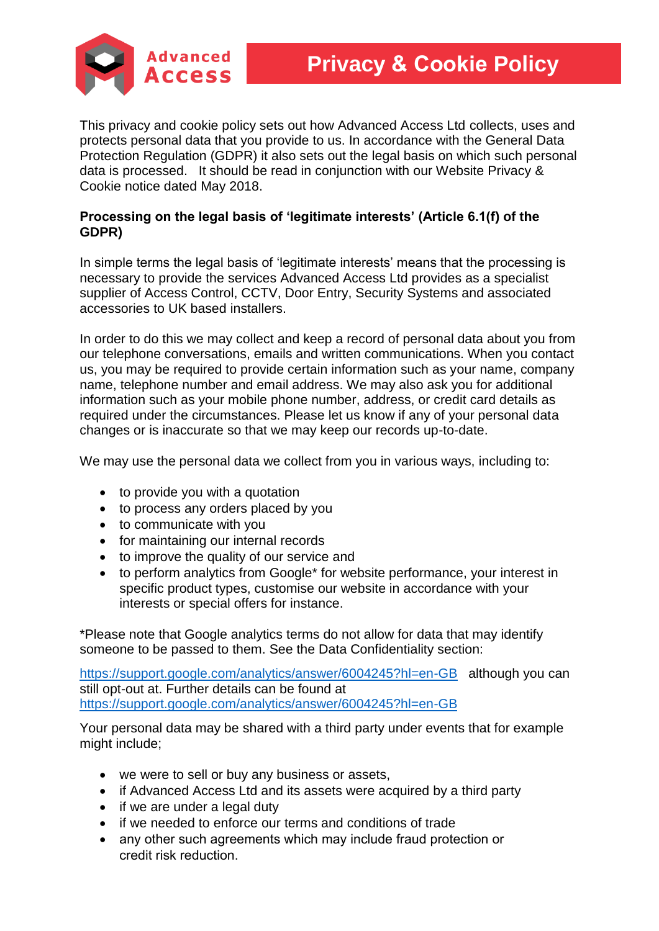

This privacy and cookie policy sets out how Advanced Access Ltd collects, uses and protects personal data that you provide to us. In accordance with the General Data Protection Regulation (GDPR) it also sets out the legal basis on which such personal data is processed. It should be read in conjunction with our Website Privacy & Cookie notice dated May 2018.

## **Processing on the legal basis of 'legitimate interests' (Article 6.1(f) of the GDPR)**

In simple terms the legal basis of 'legitimate interests' means that the processing is necessary to provide the services Advanced Access Ltd provides as a specialist supplier of Access Control, CCTV, Door Entry, Security Systems and associated accessories to UK based installers.

In order to do this we may collect and keep a record of personal data about you from our telephone conversations, emails and written communications. When you contact us, you may be required to provide certain information such as your name, company name, telephone number and email address. We may also ask you for additional information such as your mobile phone number, address, or credit card details as required under the circumstances. Please let us know if any of your personal data changes or is inaccurate so that we may keep our records up-to-date.

We may use the personal data we collect from you in various ways, including to:

- to provide you with a quotation
- to process any orders placed by you
- to communicate with you
- for maintaining our internal records
- to improve the quality of our service and
- to perform analytics from Google\* for website performance, your interest in specific product types, customise our website in accordance with your interests or special offers for instance.

\*Please note that Google analytics terms do not allow for data that may identify someone to be passed to them. See the Data Confidentiality section:

<https://support.google.com/analytics/answer/6004245?hl=en-GB>although you can still opt-out at. Further details can be found at <https://support.google.com/analytics/answer/6004245?hl=en-GB>

Your personal data may be shared with a third party under events that for example might include;

- we were to sell or buy any business or assets,
- if Advanced Access Ltd and its assets were acquired by a third party
- if we are under a legal duty
- if we needed to enforce our terms and conditions of trade
- any other such agreements which may include fraud protection or credit risk reduction.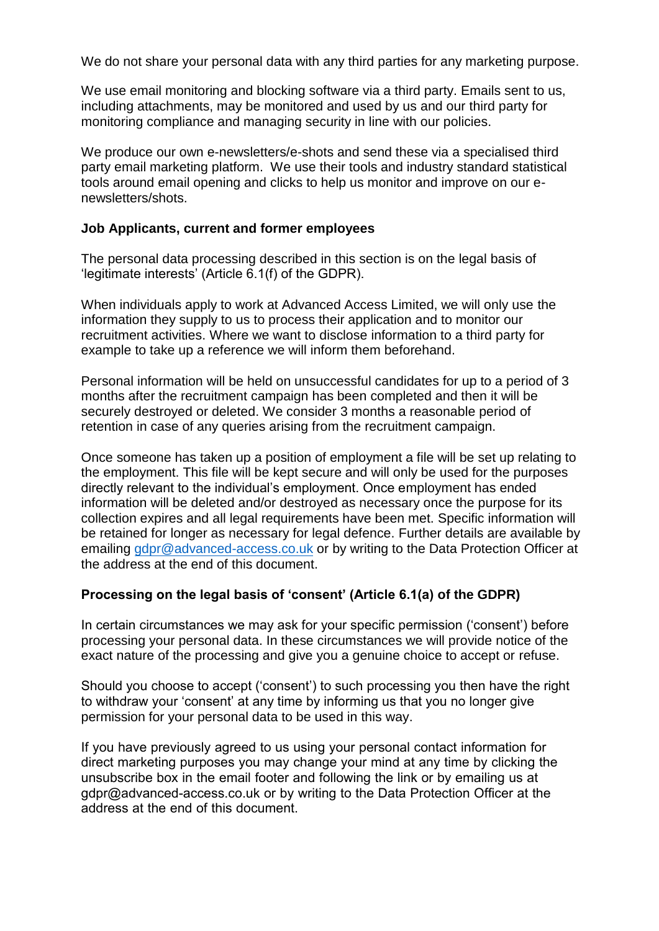We do not share your personal data with any third parties for any marketing purpose.

We use email monitoring and blocking software via a third party. Emails sent to us, including attachments, may be monitored and used by us and our third party for monitoring compliance and managing security in line with our policies.

We produce our own e-newsletters/e-shots and send these via a specialised third party email marketing platform. We use their tools and industry standard statistical tools around email opening and clicks to help us monitor and improve on our enewsletters/shots.

#### **Job Applicants, current and former employees**

The personal data processing described in this section is on the legal basis of 'legitimate interests' (Article 6.1(f) of the GDPR).

When individuals apply to work at Advanced Access Limited, we will only use the information they supply to us to process their application and to monitor our recruitment activities. Where we want to disclose information to a third party for example to take up a reference we will inform them beforehand.

Personal information will be held on unsuccessful candidates for up to a period of 3 months after the recruitment campaign has been completed and then it will be securely destroyed or deleted. We consider 3 months a reasonable period of retention in case of any queries arising from the recruitment campaign.

Once someone has taken up a position of employment a file will be set up relating to the employment. This file will be kept secure and will only be used for the purposes directly relevant to the individual's employment. Once employment has ended information will be deleted and/or destroyed as necessary once the purpose for its collection expires and all legal requirements have been met. Specific information will be retained for longer as necessary for legal defence. Further details are available by emailing [gdpr@advanced-access.co.uk](mailto:gdpr@advanced-access.co.uk) or by writing to the Data Protection Officer at the address at the end of this document.

### **Processing on the legal basis of 'consent' (Article 6.1(a) of the GDPR)**

In certain circumstances we may ask for your specific permission ('consent') before processing your personal data. In these circumstances we will provide notice of the exact nature of the processing and give you a genuine choice to accept or refuse.

Should you choose to accept ('consent') to such processing you then have the right to withdraw your 'consent' at any time by informing us that you no longer give permission for your personal data to be used in this way.

If you have previously agreed to us using your personal contact information for direct marketing purposes you may change your mind at any time by clicking the unsubscribe box in the email footer and following the link or by emailing us at gdpr@advanced-access.co.uk or by writing to the Data Protection Officer at the address at the end of this document.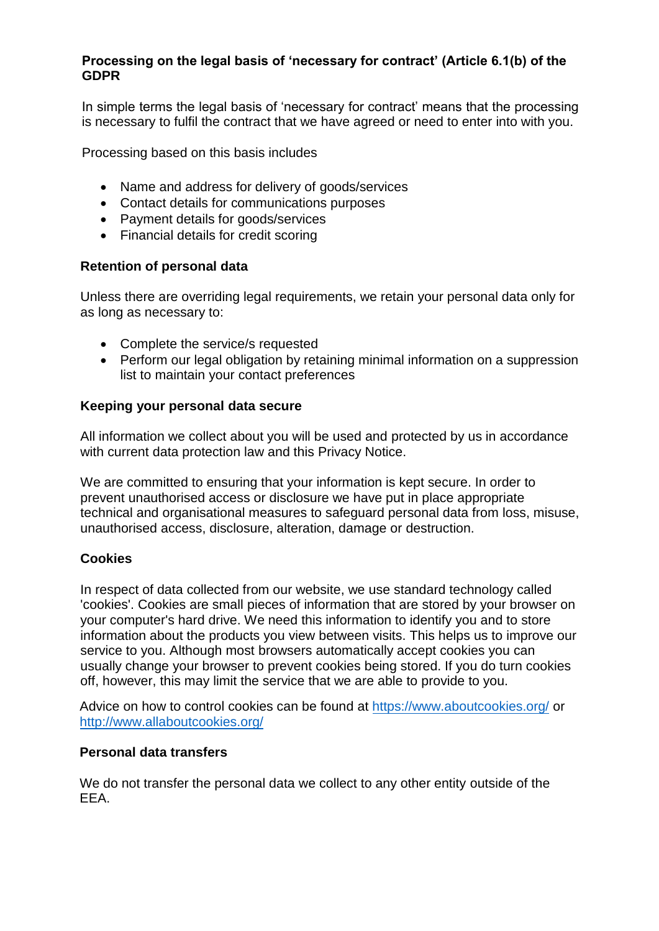## **Processing on the legal basis of 'necessary for contract' (Article 6.1(b) of the GDPR**

In simple terms the legal basis of 'necessary for contract' means that the processing is necessary to fulfil the contract that we have agreed or need to enter into with you.

[Processing based on this basis](mailto:gdpr@advanced-access.co.uk) includes

- Name and address for delivery of goods/services
- Contact details for communications purposes
- Payment details for goods/services
- Financial details for credit scoring

## **Retention of personal data**

Unless there are overriding legal requirements, we retain your personal data only for as long as necessary to:

- Complete the service/s requested
- Perform our legal obligation by retaining minimal information on a suppression list to maintain your contact preferences

## **Keeping your personal data secure**

All information we collect about you will be used and protected by us in accordance with current data protection law and this Privacy Notice.

We are committed to ensuring that your information is kept secure. In order to prevent unauthorised access or disclosure we have put in place appropriate technical and organisational measures to safeguard personal data from loss, misuse, unauthorised access, disclosure, alteration, damage or destruction.

## **Cookies**

In respect of data collected from our website, we use standard technology called 'cookies'. Cookies are small pieces of information that are stored by your browser on your computer's hard drive. We need this information to identify you and to store information about the products you view between visits. This helps us to improve our service to you. Although most browsers automatically accept cookies you can usually change your browser to prevent cookies being stored. If you do turn cookies off, however, this may limit the service that we are able to provide to you.

Advice on how to control cookies can be found at https://www.aboutcookies.org/ or http://www.allaboutcookies.org/

### **Personal data transfers**

We do not transfer the personal data we collect to any other entity outside of the EEA.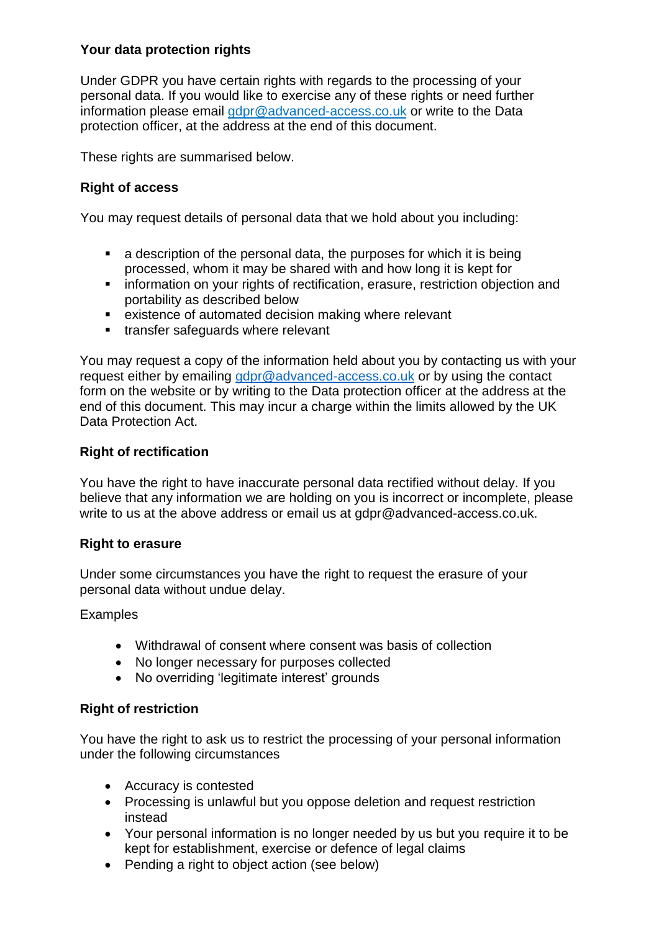## **Your data protection rights**

Under GDPR you have certain rights with regards to the processing of your personal data. If you would like to exercise any of these rights or need further information please email [gdpr@advanced-access.co.uk](mailto:gdpr@advanced-access.co.uk) [or write to the Data](https://www.aboutcookies.org/)  [protection officer, at the address](http://www.allaboutcookies.org/) at the end of this document.

These rights are summarised below.

## **Right of access**

You may request details of personal data that we hold about you including:

- a description of the personal data, the purposes for which it is being processed, whom it may be shared with and how long it is kept for
- **EXEDENT** information on your rights of rectification, erasure, restriction objection and portability as described below
- existence of automated decision making where relevant
- **transfer safequards where relevant**

You may request a copy of the information held about you by contacting us with your request either by emailing [gdpr@advanced-access.co.uk](mailto:gdpr@advanced-access.co.uk) or by using the contact form on the website or by writing to the Data protection officer at the address at the end of this document. This may incur a charge within the limits allowed by the UK Data Protection Act.

## **Right of rectification**

You have the right to have inaccurate personal data rectified without delay. If you believe that any information we are holding on you is incorrect or incomplete, please write to us at the above address or email us at gdpr@advanced-access.co.uk.

### **Right to erasure**

Under some circumstances you have the right to request the erasure of your personal data without undue delay.

### Examples

- Withdrawal of consent where consent was basis of collection
- No longer necessary for purposes collected
- No overriding 'legitimate interest' grounds

### **Right of restriction**

You have the right to ask us to restrict the processing of your personal information under the following circumstances

- Accuracy is contested
- Processing is unlawful but you oppose deletion and request restriction instead
- Your personal information is no longer needed by us but you require it to be kept for establishment, exercise or defence of legal claims
- Pending a right to object action (see below)